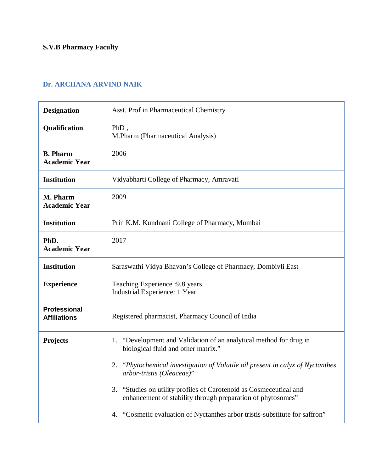## **S.V.B Pharmacy Faculty**

## **Dr. ARCHANA ARVIND NAIK**

| <b>Designation</b>                         | Asst. Prof in Pharmaceutical Chemistry                                                                                                                                                                                                                                                                                                                                                                                                                   |
|--------------------------------------------|----------------------------------------------------------------------------------------------------------------------------------------------------------------------------------------------------------------------------------------------------------------------------------------------------------------------------------------------------------------------------------------------------------------------------------------------------------|
| Qualification                              | $PhD$ ,<br>M.Pharm (Pharmaceutical Analysis)                                                                                                                                                                                                                                                                                                                                                                                                             |
| <b>B.</b> Pharm<br><b>Academic Year</b>    | 2006                                                                                                                                                                                                                                                                                                                                                                                                                                                     |
| <b>Institution</b>                         | Vidyabharti College of Pharmacy, Amravati                                                                                                                                                                                                                                                                                                                                                                                                                |
| M. Pharm<br><b>Academic Year</b>           | 2009                                                                                                                                                                                                                                                                                                                                                                                                                                                     |
| <b>Institution</b>                         | Prin K.M. Kundnani College of Pharmacy, Mumbai                                                                                                                                                                                                                                                                                                                                                                                                           |
| PhD.<br><b>Academic Year</b>               | 2017                                                                                                                                                                                                                                                                                                                                                                                                                                                     |
| <b>Institution</b>                         | Saraswathi Vidya Bhavan's College of Pharmacy, Dombivli East                                                                                                                                                                                                                                                                                                                                                                                             |
| <b>Experience</b>                          | Teaching Experience : 9.8 years<br>Industrial Experience: 1 Year                                                                                                                                                                                                                                                                                                                                                                                         |
| <b>Professional</b><br><b>Affiliations</b> | Registered pharmacist, Pharmacy Council of India                                                                                                                                                                                                                                                                                                                                                                                                         |
| <b>Projects</b>                            | "Development and Validation of an analytical method for drug in<br>1.<br>biological fluid and other matrix."<br>"Phytochemical investigation of Volatile oil present in calyx of Nyctanthes<br>2.<br>arbor-tristis (Oleaceae)"<br>"Studies on utility profiles of Carotenoid as Cosmeceutical and<br>3.<br>enhancement of stability through preparation of phytosomes"<br>"Cosmetic evaluation of Nyctanthes arbor tristis-substitute for saffron"<br>4. |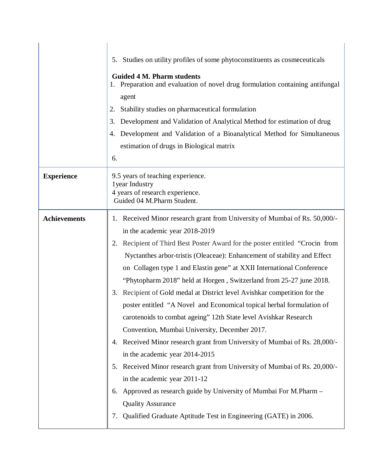|                     | 5. Studies on utility profiles of some phytoconstituents as cosmeceuticals                                                                            |
|---------------------|-------------------------------------------------------------------------------------------------------------------------------------------------------|
|                     | <b>Guided 4 M. Pharm students</b><br>1. Preparation and evaluation of novel drug formulation containing antifungal                                    |
|                     | agent                                                                                                                                                 |
|                     | Stability studies on pharmaceutical formulation<br>2.                                                                                                 |
|                     | Development and Validation of Analytical Method for estimation of drug<br>3.                                                                          |
|                     | Development and Validation of a Bioanalytical Method for Simultaneous<br>4.                                                                           |
|                     | estimation of drugs in Biological matrix                                                                                                              |
|                     | 6.                                                                                                                                                    |
| <b>Experience</b>   | 9.5 years of teaching experience.<br>1 year Industry<br>4 years of research experience.<br>Guided 04 M.Pharm Student.                                 |
| <b>Achievements</b> | 1. Received Minor research grant from University of Mumbai of Rs. 50,000/-                                                                            |
|                     | in the academic year 2018-2019                                                                                                                        |
|                     | Recipient of Third Best Poster Award for the poster entitled "Crocin from<br>2.                                                                       |
|                     | Nyctanthes arbor-tristis (Oleaceae): Enhancement of stability and Effect                                                                              |
|                     | on Collagen type 1 and Elastin gene" at XXII International Conference                                                                                 |
|                     | "Phytopharm 2018" held at Horgen, Switzerland from 25-27 june 2018.                                                                                   |
|                     | Recipient of Gold medal at District level Avishkar competition for the<br>3.<br>poster entitled "A Novel and Economical topical herbal formulation of |
|                     | carotenoids to combat ageing" 12th State level Avishkar Research                                                                                      |
|                     | Convention, Mumbai University, December 2017.                                                                                                         |
|                     | 4. Received Minor research grant from University of Mumbai of Rs. 28,000/-                                                                            |
|                     | in the academic year 2014-2015                                                                                                                        |
|                     | 5. Received Minor research grant from University of Mumbai of Rs. 20,000/-                                                                            |
|                     | in the academic year 2011-12                                                                                                                          |
|                     | Approved as research guide by University of Mumbai For M.Pharm -<br>6.                                                                                |
|                     | <b>Quality Assurance</b>                                                                                                                              |
|                     | Qualified Graduate Aptitude Test in Engineering (GATE) in 2006.<br>7.                                                                                 |
|                     |                                                                                                                                                       |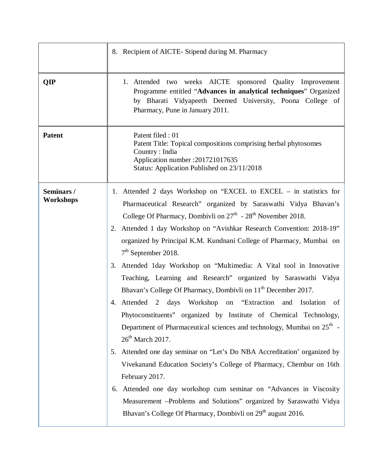|                        | 8. Recipient of AICTE- Stipend during M. Pharmacy                                                                                                                                                                                                                                                                                                                                                                                                                                                                                                                                                                                                                                                                                                                                                                                                                                                                                                                                                                                                                                                                                                                                                                                                                                  |
|------------------------|------------------------------------------------------------------------------------------------------------------------------------------------------------------------------------------------------------------------------------------------------------------------------------------------------------------------------------------------------------------------------------------------------------------------------------------------------------------------------------------------------------------------------------------------------------------------------------------------------------------------------------------------------------------------------------------------------------------------------------------------------------------------------------------------------------------------------------------------------------------------------------------------------------------------------------------------------------------------------------------------------------------------------------------------------------------------------------------------------------------------------------------------------------------------------------------------------------------------------------------------------------------------------------|
| <b>QIP</b>             | 1. Attended two weeks AICTE sponsored Quality Improvement<br>Programme entitled "Advances in analytical techniques" Organized<br>by Bharati Vidyapeeth Deemed University, Poona College of<br>Pharmacy, Pune in January 2011.                                                                                                                                                                                                                                                                                                                                                                                                                                                                                                                                                                                                                                                                                                                                                                                                                                                                                                                                                                                                                                                      |
| <b>Patent</b>          | Patent filed : 01<br>Patent Title: Topical compositions comprising herbal phytosomes<br>Country: India<br>Application number : 201721017635<br>Status: Application Published on 23/11/2018                                                                                                                                                                                                                                                                                                                                                                                                                                                                                                                                                                                                                                                                                                                                                                                                                                                                                                                                                                                                                                                                                         |
| Seminars/<br>Workshops | 1. Attended 2 days Workshop on "EXCEL to EXCEL – in statistics for<br>Pharmaceutical Research" organized by Saraswathi Vidya Bhavan's<br>College Of Pharmacy, Dombivli on 27 <sup>th</sup> - 28 <sup>th</sup> November 2018.<br>2. Attended 1 day Workshop on "Avishkar Research Convention: 2018-19"<br>organized by Principal K.M. Kundnani College of Pharmacy, Mumbai on<br>$7th$ September 2018.<br>3. Attended 1day Workshop on "Multimedia: A Vital tool in Innovative<br>Teaching, Learning and Research" organized by Saraswathi Vidya<br>Bhavan's College Of Pharmacy, Dombivli on 11 <sup>th</sup> December 2017.<br>4. Attended 2 days Workshop on "Extraction and Isolation"<br>of<br>Phytoconstituents" organized by Institute of Chemical Technology,<br>Department of Pharmaceutical sciences and technology, Mumbai on 25 <sup>th</sup> -<br>$26th$ March 2017.<br>Attended one day seminar on "Let's Do NBA Accreditation' organized by<br>5.<br>Vivekanand Education Society's College of Pharmacy, Chembur on 16th<br>February 2017.<br>Attended one day workshop cum seminar on "Advances in Viscosity<br>6.<br>Measurement -Problems and Solutions" organized by Saraswathi Vidya<br>Bhavan's College Of Pharmacy, Dombivli on 29 <sup>th</sup> august 2016. |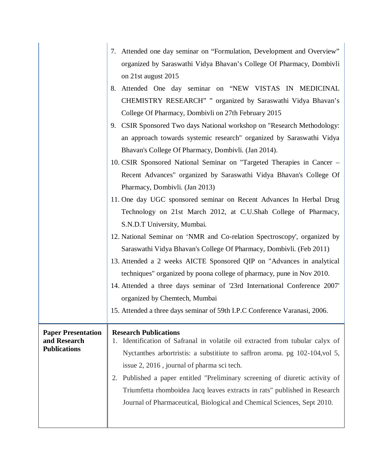|                                     | 7. Attended one day seminar on "Formulation, Development and Overview"          |
|-------------------------------------|---------------------------------------------------------------------------------|
|                                     | organized by Saraswathi Vidya Bhavan's College Of Pharmacy, Dombivli            |
|                                     | on 21st august 2015                                                             |
|                                     | 8. Attended One day seminar on "NEW VISTAS IN MEDICINAL                         |
|                                     | CHEMISTRY RESEARCH" " organized by Saraswathi Vidya Bhavan's                    |
|                                     | College Of Pharmacy, Dombivli on 27th February 2015                             |
|                                     | 9. CSIR Sponsored Two days National workshop on "Research Methodology:          |
|                                     | an approach towards systemic research" organized by Saraswathi Vidya            |
|                                     | Bhavan's College Of Pharmacy, Dombivli. (Jan 2014).                             |
|                                     | 10. CSIR Sponsored National Seminar on "Targeted Therapies in Cancer –          |
|                                     | Recent Advances" organized by Saraswathi Vidya Bhavan's College Of              |
|                                     | Pharmacy, Dombivli. (Jan 2013)                                                  |
|                                     | 11. One day UGC sponsored seminar on Recent Advances In Herbal Drug             |
|                                     | Technology on 21st March 2012, at C.U.Shah College of Pharmacy,                 |
|                                     | S.N.D.T University, Mumbai.                                                     |
|                                     | 12. National Seminar on 'NMR and Co-relation Spectroscopy', organized by        |
|                                     | Saraswathi Vidya Bhavan's College Of Pharmacy, Dombivli. (Feb 2011)             |
|                                     | 13. Attended a 2 weeks AICTE Sponsored QIP on "Advances in analytical           |
|                                     | techniques" organized by poona college of pharmacy, pune in Nov 2010.           |
|                                     | 14. Attended a three days seminar of '23rd International Conference 2007'       |
|                                     | organized by Chemtech, Mumbai                                                   |
|                                     | 15. Attended a three days seminar of 59th I.P.C Conference Varanasi, 2006.      |
| <b>Paper Presentation</b>           | <b>Research Publications</b>                                                    |
| and Research<br><b>Publications</b> | 1. Identification of Safranal in volatile oil extracted from tubular calyx of   |
|                                     | Nyctanthes arbortristis: a substitute to saffron aroma. pg 102-104, vol 5,      |
|                                     | issue 2, 2016, journal of pharma sci tech.                                      |
|                                     | Published a paper entitled "Preliminary screening of diuretic activity of<br>2. |
|                                     | Triumfetta rhomboidea Jacq leaves extracts in rats" published in Research       |
|                                     | Journal of Pharmaceutical, Biological and Chemical Sciences, Sept 2010.         |
|                                     |                                                                                 |